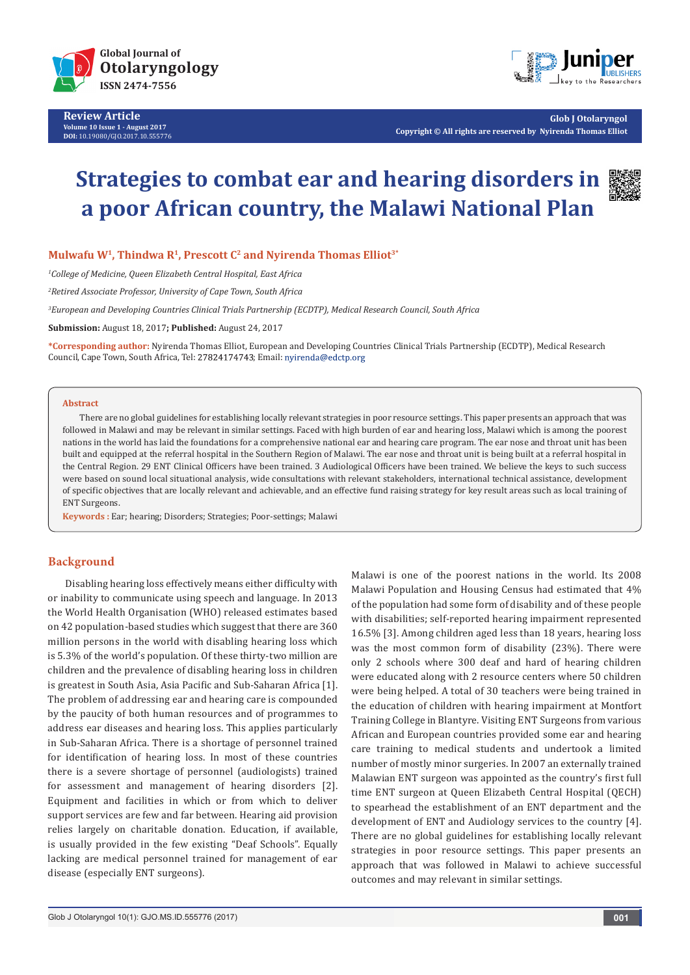

**Review Article Volume 10 Issue 1 - August 2017 DOI:** [10.19080/GJO.2017.10.555776](http://dx.doi.org/10.19080/GJO.2017.10.555776)



**Glob J Otolaryngol Copyright © All rights are reserved by Nyirenda Thomas Elliot**

# **Strategies to combat ear and hearing disorders in a poor African country, the Malawi National Plan**



*1 College of Medicine, Queen Elizabeth Central Hospital, East Africa*

*2 Retired Associate Professor, University of Cape Town, South Africa* 

*3 European and Developing Countries Clinical Trials Partnership (ECDTP), Medical Research Council, South Africa*

**Submission:** August 18, 2017**; Published:** August 24, 2017

**\*Corresponding author:** Nyirenda Thomas Elliot, European and Developing Countries Clinical Trials Partnership (ECDTP), Medical Research Council, Cape Town, South Africa, Tel: 27824174743; Email: nyirenda@edctp.org

#### **Abstract**

There are no global guidelines for establishing locally relevant strategies in poor resource settings. This paper presents an approach that was followed in Malawi and may be relevant in similar settings. Faced with high burden of ear and hearing loss, Malawi which is among the poorest nations in the world has laid the foundations for a comprehensive national ear and hearing care program. The ear nose and throat unit has been built and equipped at the referral hospital in the Southern Region of Malawi. The ear nose and throat unit is being built at a referral hospital in the Central Region. 29 ENT Clinical Officers have been trained. 3 Audiological Officers have been trained. We believe the keys to such success were based on sound local situational analysis, wide consultations with relevant stakeholders, international technical assistance, development of specific objectives that are locally relevant and achievable, and an effective fund raising strategy for key result areas such as local training of ENT Surgeons.

**Keywords :** Ear; hearing; Disorders; Strategies; Poor-settings; Malawi

#### **Background**

Disabling hearing loss effectively means either difficulty with or inability to communicate using speech and language. In 2013 the World Health Organisation (WHO) released estimates based on 42 population-based studies which suggest that there are 360 million persons in the world with disabling hearing loss which is 5.3% of the world's population. Of these thirty-two million are children and the prevalence of disabling hearing loss in children is greatest in South Asia, Asia Pacific and Sub-Saharan Africa [1]. The problem of addressing ear and hearing care is compounded by the paucity of both human resources and of programmes to address ear diseases and hearing loss. This applies particularly in Sub-Saharan Africa. There is a shortage of personnel trained for identification of hearing loss. In most of these countries there is a severe shortage of personnel (audiologists) trained for assessment and management of hearing disorders [2]. Equipment and facilities in which or from which to deliver support services are few and far between. Hearing aid provision relies largely on charitable donation. Education, if available, is usually provided in the few existing "Deaf Schools". Equally lacking are medical personnel trained for management of ear disease (especially ENT surgeons).

Malawi is one of the poorest nations in the world. Its 2008 Malawi Population and Housing Census had estimated that 4% of the population had some form of disability and of these people with disabilities; self-reported hearing impairment represented 16.5% [3]. Among children aged less than 18 years, hearing loss was the most common form of disability (23%). There were only 2 schools where 300 deaf and hard of hearing children were educated along with 2 resource centers where 50 children were being helped. A total of 30 teachers were being trained in the education of children with hearing impairment at Montfort Training College in Blantyre. Visiting ENT Surgeons from various African and European countries provided some ear and hearing care training to medical students and undertook a limited number of mostly minor surgeries. In 2007 an externally trained Malawian ENT surgeon was appointed as the country's first full time ENT surgeon at Queen Elizabeth Central Hospital (QECH) to spearhead the establishment of an ENT department and the development of ENT and Audiology services to the country [4]. There are no global guidelines for establishing locally relevant strategies in poor resource settings. This paper presents an approach that was followed in Malawi to achieve successful outcomes and may relevant in similar settings.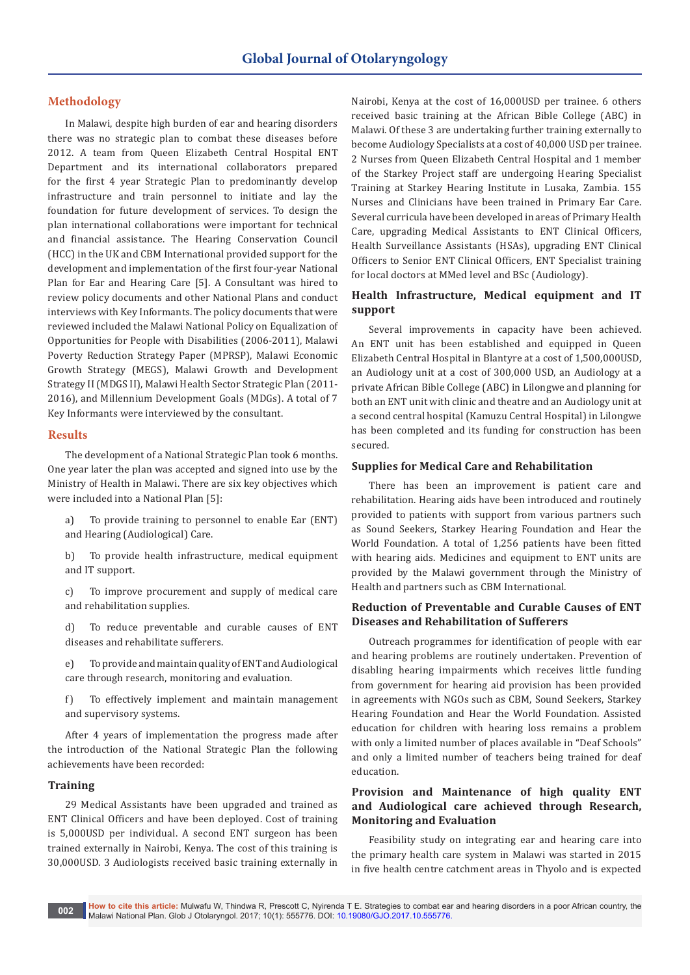## **Methodology**

In Malawi, despite high burden of ear and hearing disorders there was no strategic plan to combat these diseases before 2012. A team from Queen Elizabeth Central Hospital ENT Department and its international collaborators prepared for the first 4 year Strategic Plan to predominantly develop infrastructure and train personnel to initiate and lay the foundation for future development of services. To design the plan international collaborations were important for technical and financial assistance. The Hearing Conservation Council (HCC) in the UK and CBM International provided support for the development and implementation of the first four-year National Plan for Ear and Hearing Care [5]. A Consultant was hired to review policy documents and other National Plans and conduct interviews with Key Informants. The policy documents that were reviewed included the Malawi National Policy on Equalization of Opportunities for People with Disabilities (2006-2011), Malawi Poverty Reduction Strategy Paper (MPRSP), Malawi Economic Growth Strategy (MEGS), Malawi Growth and Development Strategy II (MDGS II), Malawi Health Sector Strategic Plan (2011- 2016), and Millennium Development Goals (MDGs). A total of 7 Key Informants were interviewed by the consultant.

#### **Results**

The development of a National Strategic Plan took 6 months. One year later the plan was accepted and signed into use by the Ministry of Health in Malawi. There are six key objectives which were included into a National Plan [5]:

a) To provide training to personnel to enable Ear (ENT) and Hearing (Audiological) Care.

b) To provide health infrastructure, medical equipment and IT support.

c) To improve procurement and supply of medical care and rehabilitation supplies.

d) To reduce preventable and curable causes of ENT diseases and rehabilitate sufferers.

e) To provide and maintain quality of ENT and Audiological care through research, monitoring and evaluation.

f) To effectively implement and maintain management and supervisory systems.

After 4 years of implementation the progress made after the introduction of the National Strategic Plan the following achievements have been recorded:

#### **Training**

29 Medical Assistants have been upgraded and trained as ENT Clinical Officers and have been deployed. Cost of training is 5,000USD per individual. A second ENT surgeon has been trained externally in Nairobi, Kenya. The cost of this training is 30,000USD. 3 Audiologists received basic training externally in

Nairobi, Kenya at the cost of 16,000USD per trainee. 6 others received basic training at the African Bible College (ABC) in Malawi. Of these 3 are undertaking further training externally to become Audiology Specialists at a cost of 40,000 USD per trainee. 2 Nurses from Queen Elizabeth Central Hospital and 1 member of the Starkey Project staff are undergoing Hearing Specialist Training at Starkey Hearing Institute in Lusaka, Zambia. 155 Nurses and Clinicians have been trained in Primary Ear Care. Several curricula have been developed in areas of Primary Health Care, upgrading Medical Assistants to ENT Clinical Officers, Health Surveillance Assistants (HSAs), upgrading ENT Clinical Officers to Senior ENT Clinical Officers, ENT Specialist training for local doctors at MMed level and BSc (Audiology).

# **Health Infrastructure, Medical equipment and IT support**

Several improvements in capacity have been achieved. An ENT unit has been established and equipped in Queen Elizabeth Central Hospital in Blantyre at a cost of 1,500,000USD, an Audiology unit at a cost of 300,000 USD, an Audiology at a private African Bible College (ABC) in Lilongwe and planning for both an ENT unit with clinic and theatre and an Audiology unit at a second central hospital (Kamuzu Central Hospital) in Lilongwe has been completed and its funding for construction has been secured.

#### **Supplies for Medical Care and Rehabilitation**

There has been an improvement is patient care and rehabilitation. Hearing aids have been introduced and routinely provided to patients with support from various partners such as Sound Seekers, Starkey Hearing Foundation and Hear the World Foundation. A total of 1,256 patients have been fitted with hearing aids. Medicines and equipment to ENT units are provided by the Malawi government through the Ministry of Health and partners such as CBM International.

## **Reduction of Preventable and Curable Causes of ENT Diseases and Rehabilitation of Sufferers**

Outreach programmes for identification of people with ear and hearing problems are routinely undertaken. Prevention of disabling hearing impairments which receives little funding from government for hearing aid provision has been provided in agreements with NGOs such as CBM, Sound Seekers, Starkey Hearing Foundation and Hear the World Foundation. Assisted education for children with hearing loss remains a problem with only a limited number of places available in "Deaf Schools" and only a limited number of teachers being trained for deaf education.

# **Provision and Maintenance of high quality ENT and Audiological care achieved through Research, Monitoring and Evaluation**

Feasibility study on integrating ear and hearing care into the primary health care system in Malawi was started in 2015 in five health centre catchment areas in Thyolo and is expected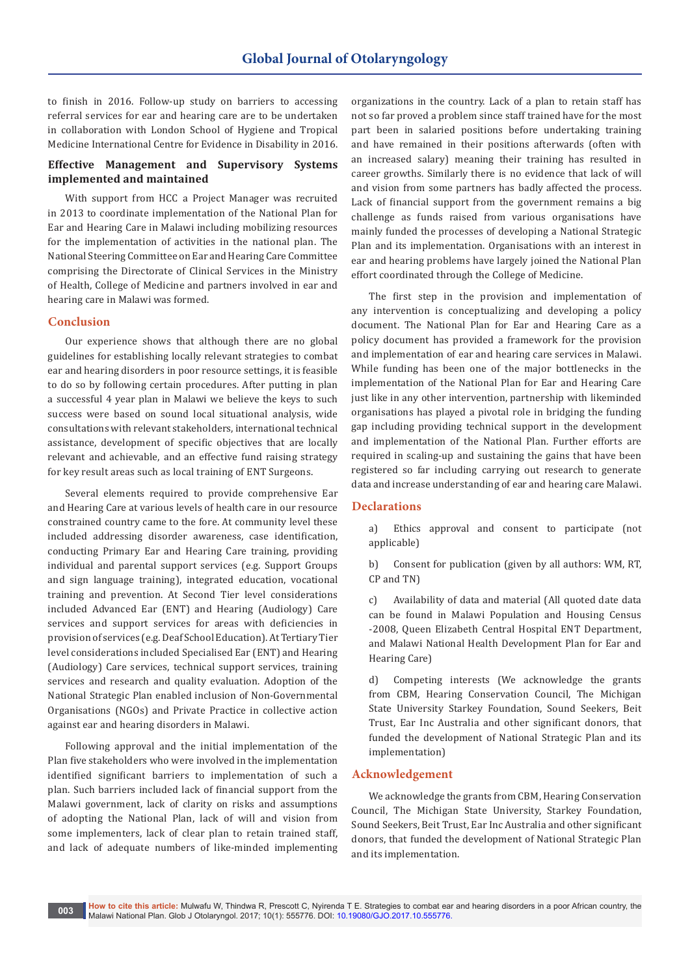to finish in 2016. Follow-up study on barriers to accessing referral services for ear and hearing care are to be undertaken in collaboration with London School of Hygiene and Tropical Medicine International Centre for Evidence in Disability in 2016.

# **Effective Management and Supervisory Systems implemented and maintained**

With support from HCC a Project Manager was recruited in 2013 to coordinate implementation of the National Plan for Ear and Hearing Care in Malawi including mobilizing resources for the implementation of activities in the national plan. The National Steering Committee on Ear and Hearing Care Committee comprising the Directorate of Clinical Services in the Ministry of Health, College of Medicine and partners involved in ear and hearing care in Malawi was formed.

## **Conclusion**

Our experience shows that although there are no global guidelines for establishing locally relevant strategies to combat ear and hearing disorders in poor resource settings, it is feasible to do so by following certain procedures. After putting in plan a successful 4 year plan in Malawi we believe the keys to such success were based on sound local situational analysis, wide consultations with relevant stakeholders, international technical assistance, development of specific objectives that are locally relevant and achievable, and an effective fund raising strategy for key result areas such as local training of ENT Surgeons.

Several elements required to provide comprehensive Ear and Hearing Care at various levels of health care in our resource constrained country came to the fore. At community level these included addressing disorder awareness, case identification, conducting Primary Ear and Hearing Care training, providing individual and parental support services (e.g. Support Groups and sign language training), integrated education, vocational training and prevention. At Second Tier level considerations included Advanced Ear (ENT) and Hearing (Audiology) Care services and support services for areas with deficiencies in provision of services (e.g. Deaf School Education). At Tertiary Tier level considerations included Specialised Ear (ENT) and Hearing (Audiology) Care services, technical support services, training services and research and quality evaluation. Adoption of the National Strategic Plan enabled inclusion of Non-Governmental Organisations (NGOs) and Private Practice in collective action against ear and hearing disorders in Malawi.

Following approval and the initial implementation of the Plan five stakeholders who were involved in the implementation identified significant barriers to implementation of such a plan. Such barriers included lack of financial support from the Malawi government, lack of clarity on risks and assumptions of adopting the National Plan, lack of will and vision from some implementers, lack of clear plan to retain trained staff, and lack of adequate numbers of like-minded implementing organizations in the country. Lack of a plan to retain staff has not so far proved a problem since staff trained have for the most part been in salaried positions before undertaking training and have remained in their positions afterwards (often with an increased salary) meaning their training has resulted in career growths. Similarly there is no evidence that lack of will and vision from some partners has badly affected the process. Lack of financial support from the government remains a big challenge as funds raised from various organisations have mainly funded the processes of developing a National Strategic Plan and its implementation. Organisations with an interest in ear and hearing problems have largely joined the National Plan effort coordinated through the College of Medicine.

The first step in the provision and implementation of any intervention is conceptualizing and developing a policy document. The National Plan for Ear and Hearing Care as a policy document has provided a framework for the provision and implementation of ear and hearing care services in Malawi. While funding has been one of the major bottlenecks in the implementation of the National Plan for Ear and Hearing Care just like in any other intervention, partnership with likeminded organisations has played a pivotal role in bridging the funding gap including providing technical support in the development and implementation of the National Plan. Further efforts are required in scaling-up and sustaining the gains that have been registered so far including carrying out research to generate data and increase understanding of ear and hearing care Malawi.

#### **Declarations**

a) Ethics approval and consent to participate (not applicable)

b) Consent for publication (given by all authors: WM, RT, CP and TN)

c) Availability of data and material (All quoted date data can be found in Malawi Population and Housing Census -2008, Queen Elizabeth Central Hospital ENT Department, and Malawi National Health Development Plan for Ear and Hearing Care)

d) Competing interests (We acknowledge the grants from CBM, Hearing Conservation Council, The Michigan State University Starkey Foundation, Sound Seekers, Beit Trust, Ear Inc Australia and other significant donors, that funded the development of National Strategic Plan and its implementation)

#### **Acknowledgement**

We acknowledge the grants from CBM, Hearing Conservation Council, The Michigan State University, Starkey Foundation, Sound Seekers, Beit Trust, Ear Inc Australia and other significant donors, that funded the development of National Strategic Plan and its implementation.